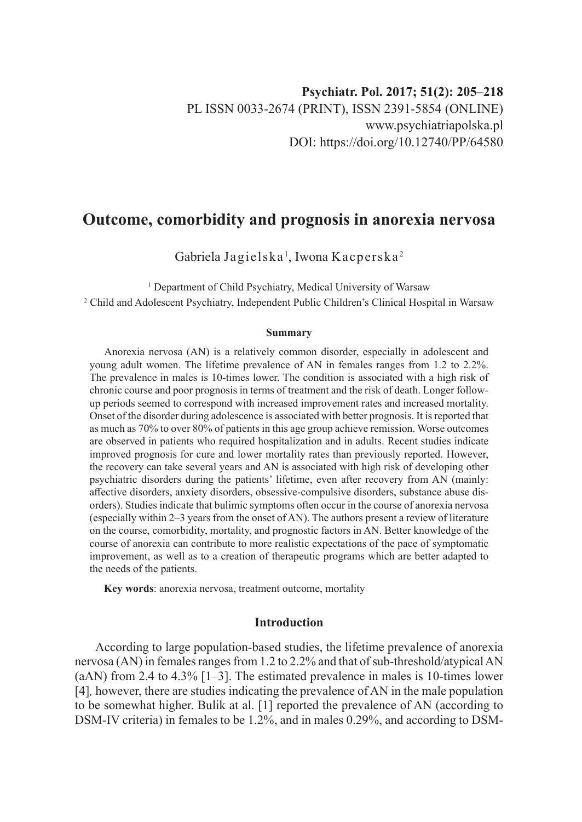# **Outcome, comorbidity and prognosis in anorexia nervosa**

Gabriela Jagielska $^{\rm l}$ , Iwona Kacperska $^{\rm 2}$ 

<sup>1</sup> Department of Child Psychiatry, Medical University of Warsaw 2 Child and Adolescent Psychiatry, Independent Public Children's Clinical Hospital in Warsaw

#### **Summary**

Anorexia nervosa (AN) is a relatively common disorder, especially in adolescent and young adult women. The lifetime prevalence of AN in females ranges from 1.2 to 2.2%. The prevalence in males is 10-times lower. The condition is associated with a high risk of chronic course and poor prognosis in terms of treatment and the risk of death. Longer followup periods seemed to correspond with increased improvement rates and increased mortality. Onset of the disorder during adolescence is associated with better prognosis. It is reported that as much as 70% to over 80% of patients in this age group achieve remission. Worse outcomes are observed in patients who required hospitalization and in adults. Recent studies indicate improved prognosis for cure and lower mortality rates than previously reported. However, the recovery can take several years and AN is associated with high risk of developing other psychiatric disorders during the patients' lifetime, even after recovery from AN (mainly: affective disorders, anxiety disorders, obsessive-compulsive disorders, substance abuse disorders). Studies indicate that bulimic symptoms often occur in the course of anorexia nervosa (especially within 2–3 years from the onset of AN). The authors present a review of literature on the course, comorbidity, mortality, and prognostic factors in AN. Better knowledge of the course of anorexia can contribute to more realistic expectations of the pace of symptomatic improvement, as well as to a creation of therapeutic programs which are better adapted to the needs of the patients.

**Key words**: anorexia nervosa, treatment outcome, mortality

# **Introduction**

According to large population-based studies, the lifetime prevalence of anorexia nervosa (AN) in females ranges from 1.2 to 2.2% and that of sub-threshold/atypical AN (aAN) from 2.4 to 4.3% [1–3]. The estimated prevalence in males is 10-times lower [4]*,* however, there are studies indicating the prevalence of AN in the male population to be somewhat higher. Bulik at al. [1] reported the prevalence of AN (according to DSM-IV criteria) in females to be 1.2%, and in males 0.29%, and according to DSM-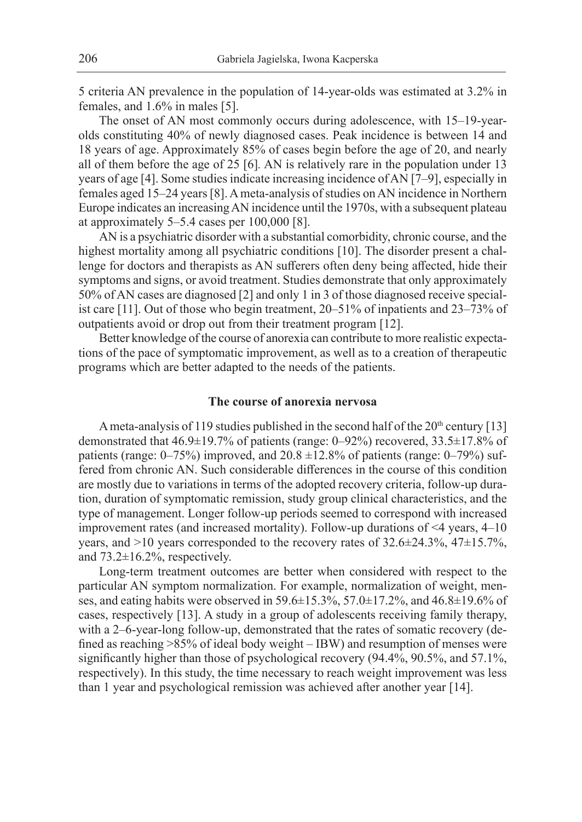5 criteria AN prevalence in the population of 14-year-olds was estimated at 3.2% in females, and 1.6% in males [5].

The onset of AN most commonly occurs during adolescence, with 15–19-yearolds constituting 40% of newly diagnosed cases. Peak incidence is between 14 and 18 years of age. Approximately 85% of cases begin before the age of 20, and nearly all of them before the age of 25 [6]*.* AN is relatively rare in the population under 13 years of age [4]. Some studies indicate increasing incidence of AN [7–9], especially in females aged 15–24 years [8]. A meta-analysis of studies on AN incidence in Northern Europe indicates an increasing AN incidence until the 1970s, with a subsequent plateau at approximately 5–5.4 cases per 100,000 [8].

AN is a psychiatric disorder with a substantial comorbidity, chronic course, and the highest mortality among all psychiatric conditions [10]. The disorder present a challenge for doctors and therapists as AN sufferers often deny being affected, hide their symptoms and signs, or avoid treatment. Studies demonstrate that only approximately 50% of AN cases are diagnosed [2] and only 1 in 3 of those diagnosed receive specialist care [11]. Out of those who begin treatment, 20–51% of inpatients and 23–73% of outpatients avoid or drop out from their treatment program [12].

Better knowledge of the course of anorexia can contribute to more realistic expectations of the pace of symptomatic improvement, as well as to a creation of therapeutic programs which are better adapted to the needs of the patients.

## **The course of anorexia nervosa**

A meta-analysis of 119 studies published in the second half of the  $20<sup>th</sup>$  century [13] demonstrated that 46.9±19.7% of patients (range: 0–92%) recovered, 33.5±17.8% of patients (range:  $0-75\%$ ) improved, and  $20.8 \pm 12.8\%$  of patients (range:  $0-79\%$ ) suffered from chronic AN. Such considerable differences in the course of this condition are mostly due to variations in terms of the adopted recovery criteria, follow-up duration, duration of symptomatic remission, study group clinical characteristics, and the type of management. Longer follow-up periods seemed to correspond with increased improvement rates (and increased mortality). Follow-up durations of <4 years, 4–10 years, and >10 years corresponded to the recovery rates of 32.6±24.3%, 47±15.7%, and  $73.2\pm16.2\%$ , respectively.

Long-term treatment outcomes are better when considered with respect to the particular AN symptom normalization. For example, normalization of weight, menses, and eating habits were observed in 59.6±15.3%, 57.0±17.2%, and 46.8±19.6% of cases, respectively [13]. A study in a group of adolescents receiving family therapy, with a 2–6-year-long follow-up, demonstrated that the rates of somatic recovery (defined as reaching >85% of ideal body weight – IBW) and resumption of menses were significantly higher than those of psychological recovery (94.4%, 90.5%, and 57.1%, respectively). In this study, the time necessary to reach weight improvement was less than 1 year and psychological remission was achieved after another year [14].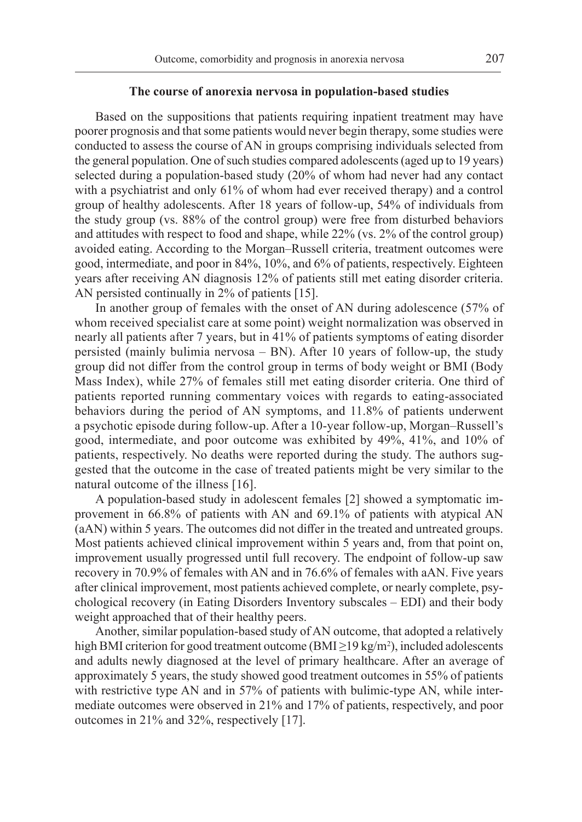## **The course of anorexia nervosa in population-based studies**

Based on the suppositions that patients requiring inpatient treatment may have poorer prognosis and that some patients would never begin therapy, some studies were conducted to assess the course of AN in groups comprising individuals selected from the general population. One of such studies compared adolescents (aged up to 19 years) selected during a population-based study (20% of whom had never had any contact with a psychiatrist and only 61% of whom had ever received therapy) and a control group of healthy adolescents. After 18 years of follow-up, 54% of individuals from the study group (vs. 88% of the control group) were free from disturbed behaviors and attitudes with respect to food and shape, while 22% (vs. 2% of the control group) avoided eating. According to the Morgan–Russell criteria, treatment outcomes were good, intermediate, and poor in 84%, 10%, and 6% of patients, respectively. Eighteen years after receiving AN diagnosis 12% of patients still met eating disorder criteria. AN persisted continually in 2% of patients [15].

In another group of females with the onset of AN during adolescence (57% of whom received specialist care at some point) weight normalization was observed in nearly all patients after 7 years, but in 41% of patients symptoms of eating disorder persisted (mainly bulimia nervosa – BN). After 10 years of follow-up, the study group did not differ from the control group in terms of body weight or BMI (Body Mass Index), while 27% of females still met eating disorder criteria. One third of patients reported running commentary voices with regards to eating-associated behaviors during the period of AN symptoms, and 11.8% of patients underwent a psychotic episode during follow-up. After a 10-year follow-up, Morgan–Russell's good, intermediate, and poor outcome was exhibited by 49%, 41%, and 10% of patients, respectively. No deaths were reported during the study. The authors suggested that the outcome in the case of treated patients might be very similar to the natural outcome of the illness [16].

A population-based study in adolescent females [2] showed a symptomatic improvement in 66.8% of patients with AN and 69.1% of patients with atypical AN (aAN) within 5 years. The outcomes did not differ in the treated and untreated groups. Most patients achieved clinical improvement within 5 years and, from that point on, improvement usually progressed until full recovery. The endpoint of follow-up saw recovery in 70.9% of females with AN and in 76.6% of females with aAN. Five years after clinical improvement, most patients achieved complete, or nearly complete, psychological recovery (in Eating Disorders Inventory subscales – EDI) and their body weight approached that of their healthy peers.

Another, similar population-based study of AN outcome, that adopted a relatively high BMI criterion for good treatment outcome (BMI≥19 kg/m<sup>2</sup>), included adolescents and adults newly diagnosed at the level of primary healthcare. After an average of approximately 5 years, the study showed good treatment outcomes in 55% of patients with restrictive type AN and in 57% of patients with bulimic-type AN, while intermediate outcomes were observed in 21% and 17% of patients, respectively, and poor outcomes in 21% and 32%, respectively [17].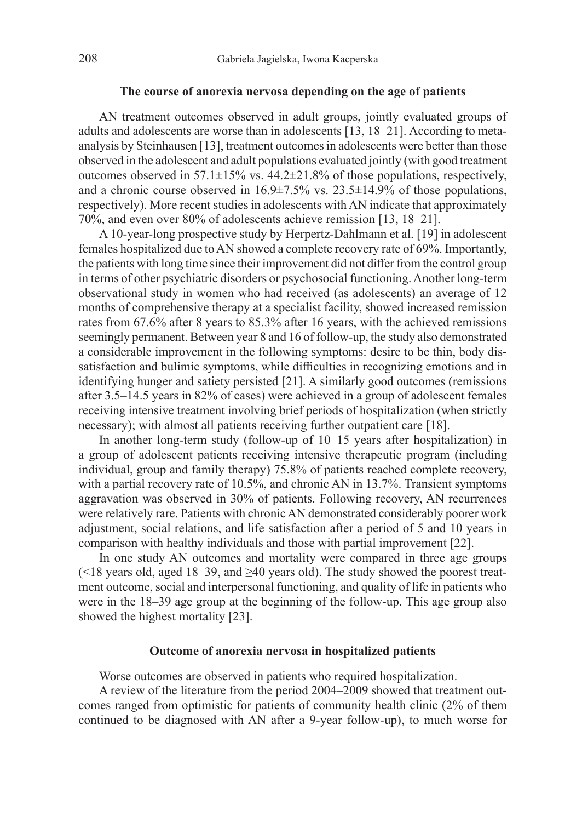## **The course of anorexia nervosa depending on the age of patients**

AN treatment outcomes observed in adult groups, jointly evaluated groups of adults and adolescents are worse than in adolescents [13, 18–21]. According to metaanalysis by Steinhausen [13], treatment outcomes in adolescents were better than those observed in the adolescent and adult populations evaluated jointly (with good treatment outcomes observed in 57.1 $\pm$ 15% vs. 44.2 $\pm$ 21.8% of those populations, respectively, and a chronic course observed in  $16.9\pm7.5\%$  vs.  $23.5\pm14.9\%$  of those populations, respectively). More recent studies in adolescents with AN indicate that approximately 70%, and even over 80% of adolescents achieve remission [13, 18–21].

A 10-year-long prospective study by Herpertz-Dahlmann et al. [19] in adolescent females hospitalized due to AN showed a complete recovery rate of 69%. Importantly, the patients with long time since their improvement did not differ from the control group in terms of other psychiatric disorders or psychosocial functioning. Another long-term observational study in women who had received (as adolescents) an average of 12 months of comprehensive therapy at a specialist facility, showed increased remission rates from 67.6% after 8 years to 85.3% after 16 years, with the achieved remissions seemingly permanent. Between year 8 and 16 of follow-up, the study also demonstrated a considerable improvement in the following symptoms: desire to be thin, body dissatisfaction and bulimic symptoms, while difficulties in recognizing emotions and in identifying hunger and satiety persisted [21]. A similarly good outcomes (remissions after 3.5–14.5 years in 82% of cases) were achieved in a group of adolescent females receiving intensive treatment involving brief periods of hospitalization (when strictly necessary); with almost all patients receiving further outpatient care [18].

In another long-term study (follow-up of 10–15 years after hospitalization) in a group of adolescent patients receiving intensive therapeutic program (including individual, group and family therapy) 75.8% of patients reached complete recovery, with a partial recovery rate of 10.5%, and chronic AN in 13.7%. Transient symptoms aggravation was observed in 30% of patients. Following recovery, AN recurrences were relatively rare. Patients with chronic AN demonstrated considerably poorer work adjustment, social relations, and life satisfaction after a period of 5 and 10 years in comparison with healthy individuals and those with partial improvement [22].

In one study AN outcomes and mortality were compared in three age groups (<18 years old, aged 18–39, and  $\geq$ 40 years old). The study showed the poorest treatment outcome, social and interpersonal functioning, and quality of life in patients who were in the 18–39 age group at the beginning of the follow-up. This age group also showed the highest mortality [23].

#### **Outcome of anorexia nervosa in hospitalized patients**

Worse outcomes are observed in patients who required hospitalization.

A review of the literature from the period 2004–2009 showed that treatment outcomes ranged from optimistic for patients of community health clinic (2% of them continued to be diagnosed with AN after a 9-year follow-up), to much worse for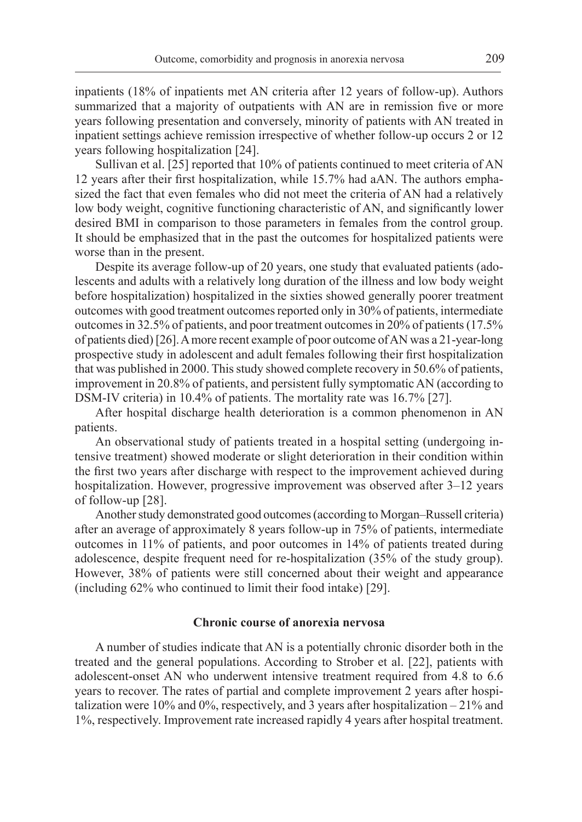inpatients (18% of inpatients met AN criteria after 12 years of follow-up). Authors summarized that a majority of outpatients with AN are in remission five or more years following presentation and conversely, minority of patients with AN treated in inpatient settings achieve remission irrespective of whether follow-up occurs 2 or 12 years following hospitalization [24].

Sullivan et al. [25] reported that 10% of patients continued to meet criteria of AN 12 years after their first hospitalization, while 15.7% had aAN. The authors emphasized the fact that even females who did not meet the criteria of AN had a relatively low body weight, cognitive functioning characteristic of AN, and significantly lower desired BMI in comparison to those parameters in females from the control group. It should be emphasized that in the past the outcomes for hospitalized patients were worse than in the present.

Despite its average follow-up of 20 years, one study that evaluated patients (adolescents and adults with a relatively long duration of the illness and low body weight before hospitalization) hospitalized in the sixties showed generally poorer treatment outcomes with good treatment outcomes reported only in 30% of patients, intermediate outcomes in 32.5% of patients, and poor treatment outcomes in 20% of patients (17.5% of patients died) [26]. A more recent example of poor outcome of AN was a 21-year-long prospective study in adolescent and adult females following their first hospitalization that was published in 2000. This study showed complete recovery in 50.6% of patients, improvement in 20.8% of patients, and persistent fully symptomatic AN (according to DSM-IV criteria) in 10.4% of patients. The mortality rate was 16.7% [27].

After hospital discharge health deterioration is a common phenomenon in AN patients.

An observational study of patients treated in a hospital setting (undergoing intensive treatment) showed moderate or slight deterioration in their condition within the first two years after discharge with respect to the improvement achieved during hospitalization. However, progressive improvement was observed after 3–12 years of follow-up [28].

Another study demonstrated good outcomes (according to Morgan–Russell criteria) after an average of approximately 8 years follow-up in 75% of patients, intermediate outcomes in 11% of patients, and poor outcomes in 14% of patients treated during adolescence, despite frequent need for re-hospitalization (35% of the study group). However, 38% of patients were still concerned about their weight and appearance (including 62% who continued to limit their food intake) [29].

## **Chronic course of anorexia nervosa**

A number of studies indicate that AN is a potentially chronic disorder both in the treated and the general populations. According to Strober et al. [22], patients with adolescent-onset AN who underwent intensive treatment required from 4.8 to 6.6 years to recover. The rates of partial and complete improvement 2 years after hospitalization were 10% and 0%, respectively, and 3 years after hospitalization  $-21\%$  and 1%, respectively. Improvement rate increased rapidly 4 years after hospital treatment.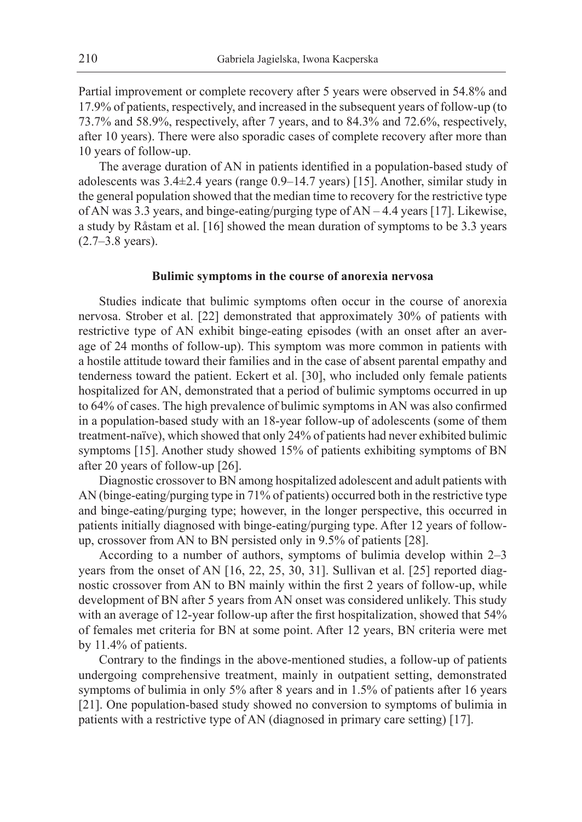Partial improvement or complete recovery after 5 years were observed in 54.8% and 17.9% of patients, respectively, and increased in the subsequent years of follow-up (to 73.7% and 58.9%, respectively, after 7 years, and to 84.3% and 72.6%, respectively, after 10 years). There were also sporadic cases of complete recovery after more than 10 years of follow-up.

The average duration of AN in patients identified in a population-based study of adolescents was 3.4±2.4 years (range 0.9–14.7 years) [15]. Another, similar study in the general population showed that the median time to recovery for the restrictive type of AN was 3.3 years, and binge-eating/purging type of AN – 4.4 years [17]. Likewise, a study by Råstam et al. [16] showed the mean duration of symptoms to be 3.3 years (2.7–3.8 years).

#### **Bulimic symptoms in the course of anorexia nervosa**

Studies indicate that bulimic symptoms often occur in the course of anorexia nervosa. Strober et al. [22] demonstrated that approximately 30% of patients with restrictive type of AN exhibit binge-eating episodes (with an onset after an average of 24 months of follow-up). This symptom was more common in patients with a hostile attitude toward their families and in the case of absent parental empathy and tenderness toward the patient. Eckert et al. [30], who included only female patients hospitalized for AN, demonstrated that a period of bulimic symptoms occurred in up to 64% of cases. The high prevalence of bulimic symptoms in AN was also confirmed in a population-based study with an 18-year follow-up of adolescents (some of them treatment-naïve), which showed that only 24% of patients had never exhibited bulimic symptoms [15]. Another study showed 15% of patients exhibiting symptoms of BN after 20 years of follow-up [26].

Diagnostic crossover to BN among hospitalized adolescent and adult patients with AN (binge-eating/purging type in 71% of patients) occurred both in the restrictive type and binge-eating/purging type; however, in the longer perspective, this occurred in patients initially diagnosed with binge-eating/purging type. After 12 years of followup, crossover from AN to BN persisted only in 9.5% of patients [28].

According to a number of authors, symptoms of bulimia develop within 2–3 years from the onset of AN [16, 22, 25, 30, 31]. Sullivan et al. [25] reported diagnostic crossover from AN to BN mainly within the first 2 years of follow-up, while development of BN after 5 years from AN onset was considered unlikely. This study with an average of 12-year follow-up after the first hospitalization, showed that 54% of females met criteria for BN at some point. After 12 years, BN criteria were met by 11.4% of patients.

Contrary to the findings in the above-mentioned studies, a follow-up of patients undergoing comprehensive treatment, mainly in outpatient setting, demonstrated symptoms of bulimia in only 5% after 8 years and in 1.5% of patients after 16 years [21]. One population-based study showed no conversion to symptoms of bulimia in patients with a restrictive type of AN (diagnosed in primary care setting) [17].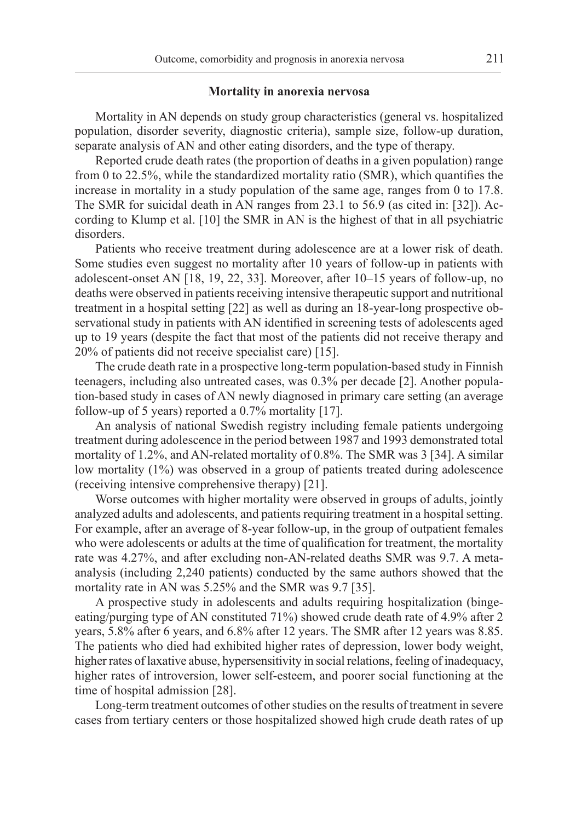## **Mortality in anorexia nervosa**

Mortality in AN depends on study group characteristics (general vs. hospitalized population, disorder severity, diagnostic criteria), sample size, follow-up duration, separate analysis of AN and other eating disorders, and the type of therapy.

Reported crude death rates (the proportion of deaths in a given population) range from 0 to 22.5%, while the standardized mortality ratio (SMR), which quantifies the increase in mortality in a study population of the same age, ranges from 0 to 17.8. The SMR for suicidal death in AN ranges from 23.1 to 56.9 (as cited in: [32]). According to Klump et al. [10] the SMR in AN is the highest of that in all psychiatric disorders.

Patients who receive treatment during adolescence are at a lower risk of death. Some studies even suggest no mortality after 10 years of follow-up in patients with adolescent-onset AN [18, 19, 22, 33]. Moreover, after 10–15 years of follow-up, no deaths were observed in patients receiving intensive therapeutic support and nutritional treatment in a hospital setting [22] as well as during an 18-year-long prospective observational study in patients with AN identified in screening tests of adolescents aged up to 19 years (despite the fact that most of the patients did not receive therapy and 20% of patients did not receive specialist care) [15].

The crude death rate in a prospective long-term population-based study in Finnish teenagers, including also untreated cases, was 0.3% per decade [2]. Another population-based study in cases of AN newly diagnosed in primary care setting (an average follow-up of 5 years) reported a 0.7% mortality [17].

An analysis of national Swedish registry including female patients undergoing treatment during adolescence in the period between 1987 and 1993 demonstrated total mortality of 1.2%, and AN-related mortality of 0.8%. The SMR was 3 [34]. A similar low mortality (1%) was observed in a group of patients treated during adolescence (receiving intensive comprehensive therapy) [21].

Worse outcomes with higher mortality were observed in groups of adults, jointly analyzed adults and adolescents, and patients requiring treatment in a hospital setting. For example, after an average of 8-year follow-up, in the group of outpatient females who were adolescents or adults at the time of qualification for treatment, the mortality rate was 4.27%, and after excluding non-AN-related deaths SMR was 9.7. A metaanalysis (including 2,240 patients) conducted by the same authors showed that the mortality rate in AN was 5.25% and the SMR was 9.7 [35].

A prospective study in adolescents and adults requiring hospitalization (bingeeating/purging type of AN constituted 71%) showed crude death rate of 4.9% after 2 years, 5.8% after 6 years, and 6.8% after 12 years. The SMR after 12 years was 8.85. The patients who died had exhibited higher rates of depression, lower body weight, higher rates of laxative abuse, hypersensitivity in social relations, feeling of inadequacy, higher rates of introversion, lower self-esteem, and poorer social functioning at the time of hospital admission [28].

Long-term treatment outcomes of other studies on the results of treatment in severe cases from tertiary centers or those hospitalized showed high crude death rates of up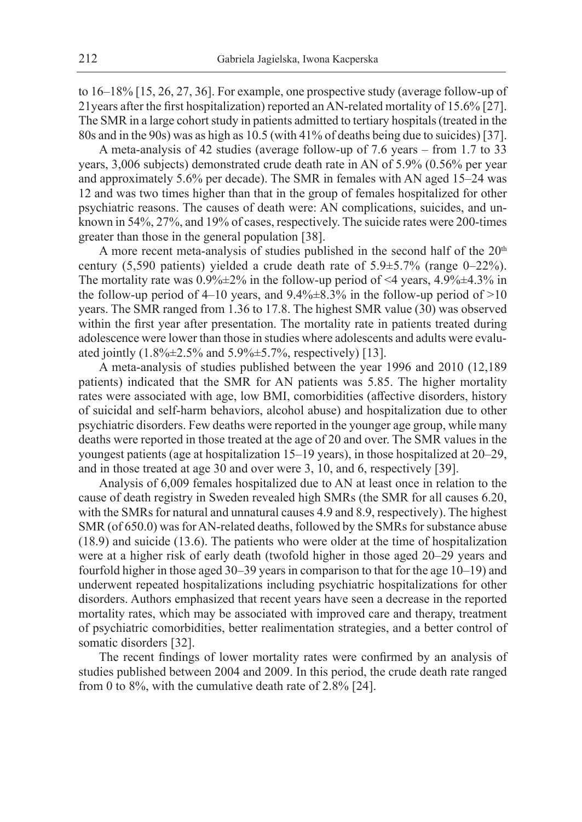to 16–18% [15, 26, 27, 36]. For example, one prospective study (average follow-up of 21years after the first hospitalization) reported an AN-related mortality of 15.6% [27]. The SMR in a large cohort study in patients admitted to tertiary hospitals (treated in the 80s and in the 90s) was as high as 10.5 (with 41% of deaths being due to suicides) [37].

A meta-analysis of 42 studies (average follow-up of 7.6 years – from 1.7 to 33 years, 3,006 subjects) demonstrated crude death rate in AN of 5.9% (0.56% per year and approximately 5.6% per decade). The SMR in females with AN aged 15–24 was 12 and was two times higher than that in the group of females hospitalized for other psychiatric reasons. The causes of death were: AN complications, suicides, and unknown in 54%, 27%, and 19% of cases, respectively. The suicide rates were 200-times greater than those in the general population [38].

A more recent meta-analysis of studies published in the second half of the 20<sup>th</sup> century (5,590 patients) yielded a crude death rate of 5.9±5.7% (range 0–22%). The mortality rate was  $0.9\% \pm 2\%$  in the follow-up period of <4 years, 4.9% $\pm$ 4.3% in the follow-up period of 4–10 years, and  $9.4\% \pm 8.3\%$  in the follow-up period of  $>10$ years. The SMR ranged from 1.36 to 17.8. The highest SMR value (30) was observed within the first year after presentation. The mortality rate in patients treated during adolescence were lower than those in studies where adolescents and adults were evaluated jointly  $(1.8\% \pm 2.5\% \text{ and } 5.9\% \pm 5.7\% \text{, respectively})$  [13].

A meta-analysis of studies published between the year 1996 and 2010 (12,189 patients) indicated that the SMR for AN patients was 5.85. The higher mortality rates were associated with age, low BMI, comorbidities (affective disorders, history of suicidal and self-harm behaviors, alcohol abuse) and hospitalization due to other psychiatric disorders. Few deaths were reported in the younger age group, while many deaths were reported in those treated at the age of 20 and over. The SMR values in the youngest patients (age at hospitalization 15–19 years), in those hospitalized at 20–29, and in those treated at age 30 and over were 3, 10, and 6, respectively [39].

Analysis of 6,009 females hospitalized due to AN at least once in relation to the cause of death registry in Sweden revealed high SMRs (the SMR for all causes 6.20, with the SMRs for natural and unnatural causes 4.9 and 8.9, respectively). The highest SMR (of 650.0) was for AN-related deaths, followed by the SMRs for substance abuse (18.9) and suicide (13.6). The patients who were older at the time of hospitalization were at a higher risk of early death (twofold higher in those aged 20–29 years and fourfold higher in those aged 30–39 years in comparison to that for the age 10–19) and underwent repeated hospitalizations including psychiatric hospitalizations for other disorders. Authors emphasized that recent years have seen a decrease in the reported mortality rates, which may be associated with improved care and therapy, treatment of psychiatric comorbidities, better realimentation strategies, and a better control of somatic disorders [32].

The recent findings of lower mortality rates were confirmed by an analysis of studies published between 2004 and 2009. In this period, the crude death rate ranged from 0 to 8%, with the cumulative death rate of 2.8% [24].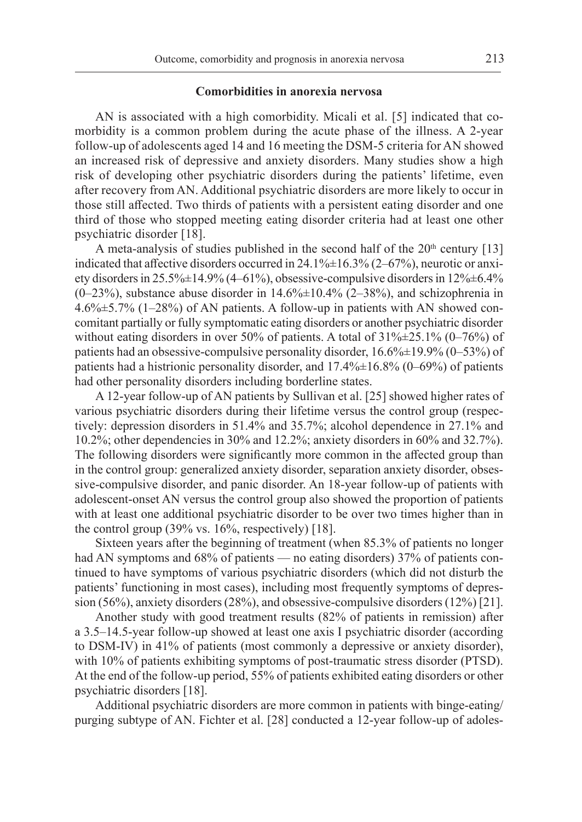#### **Comorbidities in anorexia nervosa**

AN is associated with a high comorbidity. Micali et al. [5] indicated that comorbidity is a common problem during the acute phase of the illness. A 2-year follow-up of adolescents aged 14 and 16 meeting the DSM-5 criteria for AN showed an increased risk of depressive and anxiety disorders. Many studies show a high risk of developing other psychiatric disorders during the patients' lifetime, even after recovery from AN. Additional psychiatric disorders are more likely to occur in those still affected. Two thirds of patients with a persistent eating disorder and one third of those who stopped meeting eating disorder criteria had at least one other psychiatric disorder [18].

A meta-analysis of studies published in the second half of the  $20<sup>th</sup>$  century [13] indicated that affective disorders occurred in  $24.1\% \pm 16.3\%$  (2–67%), neurotic or anxiety disorders in 25.5%±14.9% (4–61%), obsessive-compulsive disorders in 12%±6.4%  $(0-23%)$ , substance abuse disorder in 14.6% $\pm$ 10.4% (2-38%), and schizophrenia in 4.6%±5.7% (1–28%) of AN patients. A follow-up in patients with AN showed concomitant partially or fully symptomatic eating disorders or another psychiatric disorder without eating disorders in over 50% of patients. A total of  $31\frac{\cancel{0}+25.1\%}{0-76\%}$  of patients had an obsessive-compulsive personality disorder, 16.6%±19.9% (0–53%) of patients had a histrionic personality disorder, and 17.4%±16.8% (0–69%) of patients had other personality disorders including borderline states.

A 12-year follow-up of AN patients by Sullivan et al. [25] showed higher rates of various psychiatric disorders during their lifetime versus the control group (respectively: depression disorders in 51.4% and 35.7%; alcohol dependence in 27.1% and 10.2%; other dependencies in 30% and 12.2%; anxiety disorders in 60% and 32.7%). The following disorders were significantly more common in the affected group than in the control group: generalized anxiety disorder, separation anxiety disorder, obsessive-compulsive disorder, and panic disorder. An 18-year follow-up of patients with adolescent-onset AN versus the control group also showed the proportion of patients with at least one additional psychiatric disorder to be over two times higher than in the control group  $(39\% \text{ vs. } 16\%, \text{ respectively})$  [18].

Sixteen years after the beginning of treatment (when 85.3% of patients no longer had AN symptoms and 68% of patients — no eating disorders) 37% of patients continued to have symptoms of various psychiatric disorders (which did not disturb the patients' functioning in most cases), including most frequently symptoms of depression (56%), anxiety disorders (28%), and obsessive-compulsive disorders (12%) [21].

Another study with good treatment results (82% of patients in remission) after a 3.5–14.5-year follow-up showed at least one axis I psychiatric disorder (according to DSM-IV) in 41% of patients (most commonly a depressive or anxiety disorder), with 10% of patients exhibiting symptoms of post-traumatic stress disorder (PTSD). At the end of the follow-up period, 55% of patients exhibited eating disorders or other psychiatric disorders [18].

Additional psychiatric disorders are more common in patients with binge-eating/ purging subtype of AN. Fichter et al. [28] conducted a 12-year follow-up of adoles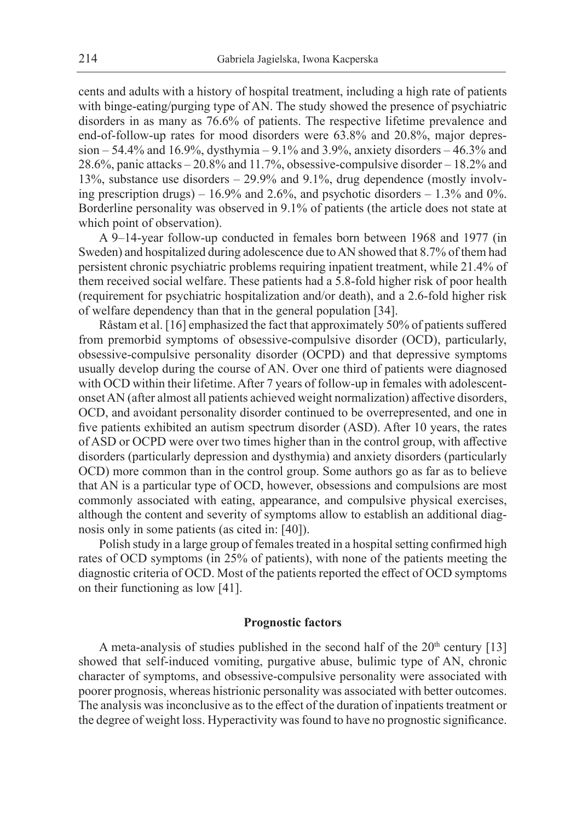cents and adults with a history of hospital treatment, including a high rate of patients with binge-eating/purging type of AN. The study showed the presence of psychiatric disorders in as many as 76.6% of patients. The respective lifetime prevalence and end-of-follow-up rates for mood disorders were 63.8% and 20.8%, major depression – 54.4% and 16.9%, dysthymia – 9.1% and 3.9%, anxiety disorders – 46.3% and 28.6%, panic attacks – 20.8% and 11.7%, obsessive-compulsive disorder – 18.2% and 13%, substance use disorders – 29.9% and 9.1%, drug dependence (mostly involving prescription drugs) –  $16.9\%$  and  $2.6\%$ , and psychotic disorders –  $1.3\%$  and 0%. Borderline personality was observed in 9.1% of patients (the article does not state at which point of observation).

A 9–14-year follow-up conducted in females born between 1968 and 1977 (in Sweden) and hospitalized during adolescence due to AN showed that 8.7% of them had persistent chronic psychiatric problems requiring inpatient treatment, while 21.4% of them received social welfare. These patients had a 5.8-fold higher risk of poor health (requirement for psychiatric hospitalization and/or death), and a 2.6-fold higher risk of welfare dependency than that in the general population [34].

Råstam et al. [16] emphasized the fact that approximately 50% of patients suffered from premorbid symptoms of obsessive-compulsive disorder (OCD), particularly, obsessive-compulsive personality disorder (OCPD) and that depressive symptoms usually develop during the course of AN. Over one third of patients were diagnosed with OCD within their lifetime. After 7 years of follow-up in females with adolescentonset AN (after almost all patients achieved weight normalization) affective disorders, OCD, and avoidant personality disorder continued to be overrepresented, and one in five patients exhibited an autism spectrum disorder (ASD). After 10 years, the rates of ASD or OCPD were over two times higher than in the control group, with affective disorders (particularly depression and dysthymia) and anxiety disorders (particularly OCD) more common than in the control group. Some authors go as far as to believe that AN is a particular type of OCD, however, obsessions and compulsions are most commonly associated with eating, appearance, and compulsive physical exercises, although the content and severity of symptoms allow to establish an additional diagnosis only in some patients (as cited in: [40]).

Polish study in a large group of females treated in a hospital setting confirmed high rates of OCD symptoms (in 25% of patients), with none of the patients meeting the diagnostic criteria of OCD. Most of the patients reported the effect of OCD symptoms on their functioning as low [41].

## **Prognostic factors**

A meta-analysis of studies published in the second half of the  $20<sup>th</sup>$  century [13] showed that self-induced vomiting, purgative abuse, bulimic type of AN, chronic character of symptoms, and obsessive-compulsive personality were associated with poorer prognosis, whereas histrionic personality was associated with better outcomes. The analysis was inconclusive as to the effect of the duration of inpatients treatment or the degree of weight loss. Hyperactivity was found to have no prognostic significance.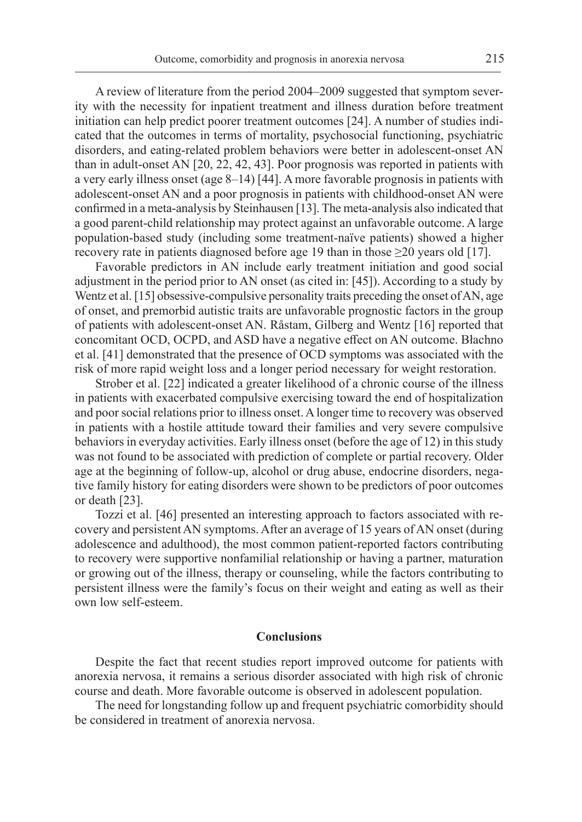A review of literature from the period 2004–2009 suggested that symptom severity with the necessity for inpatient treatment and illness duration before treatment initiation can help predict poorer treatment outcomes [24]. A number of studies indicated that the outcomes in terms of mortality, psychosocial functioning, psychiatric disorders, and eating-related problem behaviors were better in adolescent-onset AN than in adult-onset AN [20, 22, 42, 43]. Poor prognosis was reported in patients with a very early illness onset (age 8–14) [44]. A more favorable prognosis in patients with adolescent-onset AN and a poor prognosis in patients with childhood-onset AN were confirmed in a meta-analysis by Steinhausen [13]. The meta-analysis also indicated that a good parent-child relationship may protect against an unfavorable outcome. A large population-based study (including some treatment-naïve patients) showed a higher recovery rate in patients diagnosed before age 19 than in those ≥20 years old [17].

Favorable predictors in AN include early treatment initiation and good social adjustment in the period prior to AN onset (as cited in: [45]). According to a study by Wentz et al. [15] obsessive-compulsive personality traits preceding the onset of AN, age of onset, and premorbid autistic traits are unfavorable prognostic factors in the group of patients with adolescent-onset AN. Råstam, Gilberg and Wentz [16] reported that concomitant OCD, OCPD, and ASD have a negative effect on AN outcome. Błachno et al. [41] demonstrated that the presence of OCD symptoms was associated with the risk of more rapid weight loss and a longer period necessary for weight restoration.

Strober et al. [22] indicated a greater likelihood of a chronic course of the illness in patients with exacerbated compulsive exercising toward the end of hospitalization and poor social relations prior to illness onset. A longer time to recovery was observed in patients with a hostile attitude toward their families and very severe compulsive behaviors in everyday activities. Early illness onset (before the age of 12) in this study was not found to be associated with prediction of complete or partial recovery. Older age at the beginning of follow-up, alcohol or drug abuse, endocrine disorders, negative family history for eating disorders were shown to be predictors of poor outcomes or death [23].

Tozzi et al. [46] presented an interesting approach to factors associated with recovery and persistent AN symptoms. After an average of 15 years of AN onset (during adolescence and adulthood), the most common patient-reported factors contributing to recovery were supportive nonfamilial relationship or having a partner, maturation or growing out of the illness, therapy or counseling, while the factors contributing to persistent illness were the family's focus on their weight and eating as well as their own low self-esteem.

#### **Conclusions**

Despite the fact that recent studies report improved outcome for patients with anorexia nervosa, it remains a serious disorder associated with high risk of chronic course and death. More favorable outcome is observed in adolescent population.

The need for longstanding follow up and frequent psychiatric comorbidity should be considered in treatment of anorexia nervosa.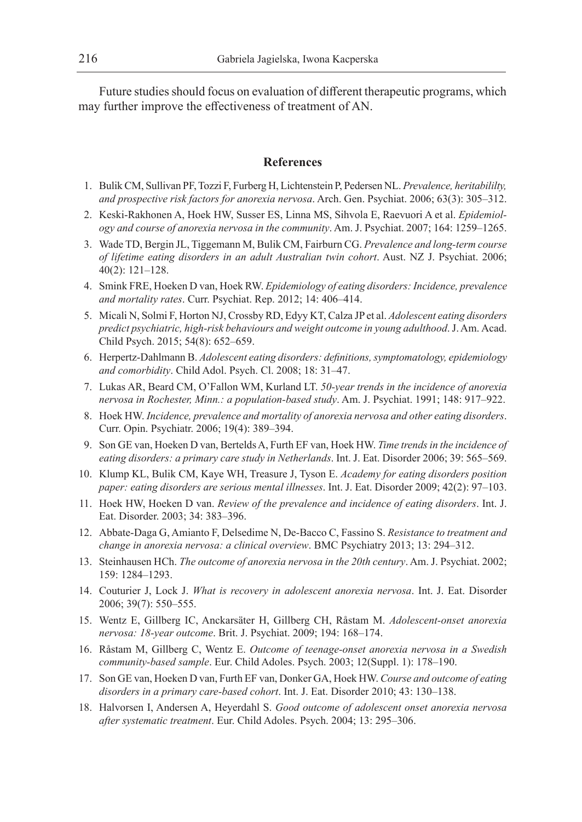Future studies should focus on evaluation of different therapeutic programs, which may further improve the effectiveness of treatment of AN.

# **References**

- 1. Bulik CM, Sullivan PF, Tozzi F, Furberg H, Lichtenstein P, Pedersen NL. *Prevalence, heritabililty, and prospective risk factors for anorexia nervosa*. Arch. Gen. Psychiat. 2006; 63(3): 305–312.
- 2. Keski-Rakhonen A, Hoek HW, Susser ES, Linna MS, Sihvola E, Raevuori A et al. *Epidemiology and course of anorexia nervosa in the community*. Am. J. Psychiat. 2007; 164: 1259–1265.
- 3. Wade TD, Bergin JL, Tiggemann M, Bulik CM, Fairburn CG. *Prevalence and long-term course of lifetime eating disorders in an adult Australian twin cohort*. Aust. NZ J. Psychiat. 2006; 40(2): 121–128.
- 4. Smink FRE, Hoeken D van, Hoek RW. *Epidemiology of eating disorders: Incidence, prevalence and mortality rates*. Curr. Psychiat. Rep. 2012; 14: 406–414.
- 5. Micali N, Solmi F, Horton NJ, Crossby RD, Edyy KT, Calza JP et al. *Adolescent eating disorders predict psychiatric, high-risk behaviours and weight outcome in young adulthood*. J. Am. Acad. Child Psych. 2015; 54(8): 652–659.
- 6. Herpertz-Dahlmann B. *Adolescent eating disorders: definitions, symptomatology, epidemiology and comorbidity*. Child Adol. Psych. Cl. 2008; 18: 31–47.
- 7. Lukas AR, Beard CM, O'Fallon WM, Kurland LT. *50-year trends in the incidence of anorexia nervosa in Rochester, Minn.: a population-based study*. Am. J. Psychiat. 1991; 148: 917–922.
- 8. Hoek HW. *Incidence, prevalence and mortality of anorexia nervosa and other eating disorders*. Curr. Opin. Psychiatr. 2006; 19(4): 389–394.
- 9. Son GE van, Hoeken D van, Bertelds A, Furth EF van, Hoek HW. *Time trends in the incidence of eating disorders: a primary care study in Netherlands*. Int. J. Eat. Disorder 2006; 39: 565–569.
- 10. Klump KL, Bulik CM, Kaye WH, Treasure J, Tyson E. *Academy for eating disorders position paper: eating disorders are serious mental illnesses*. Int. J. Eat. Disorder 2009; 42(2): 97–103.
- 11. Hoek HW, Hoeken D van. *Review of the prevalence and incidence of eating disorders*. Int. J. Eat. Disorder. 2003; 34: 383–396.
- 12. Abbate-Daga G, Amianto F, Delsedime N, De-Bacco C, Fassino S. *Resistance to treatment and change in anorexia nervosa: a clinical overview*. BMC Psychiatry 2013; 13: 294–312.
- 13. Steinhausen HCh. *The outcome of anorexia nervosa in the 20th century*. Am. J. Psychiat. 2002; 159: 1284–1293.
- 14. Couturier J, Lock J. *What is recovery in adolescent anorexia nervosa*. Int. J. Eat. Disorder 2006; 39(7): 550–555.
- 15. Wentz E, Gillberg IC, Anckarsäter H, Gillberg CH, Råstam M. *Adolescent-onset anorexia nervosa: 18-year outcome*. Brit. J. Psychiat. 2009; 194: 168–174.
- 16. Råstam M, Gillberg C, Wentz E. *Outcome of teenage-onset anorexia nervosa in a Swedish community-based sample*. Eur. Child Adoles. Psych. 2003; 12(Suppl. 1): 178–190.
- 17. Son GE van, Hoeken D van, Furth EF van, Donker GA, Hoek HW. *Course and outcome of eating disorders in a primary care-based cohort*. Int. J. Eat. Disorder 2010; 43: 130–138.
- 18. Halvorsen I, Andersen A, Heyerdahl S. *Good outcome of adolescent onset anorexia nervosa after systematic treatment*. Eur. Child Adoles. Psych. 2004; 13: 295–306.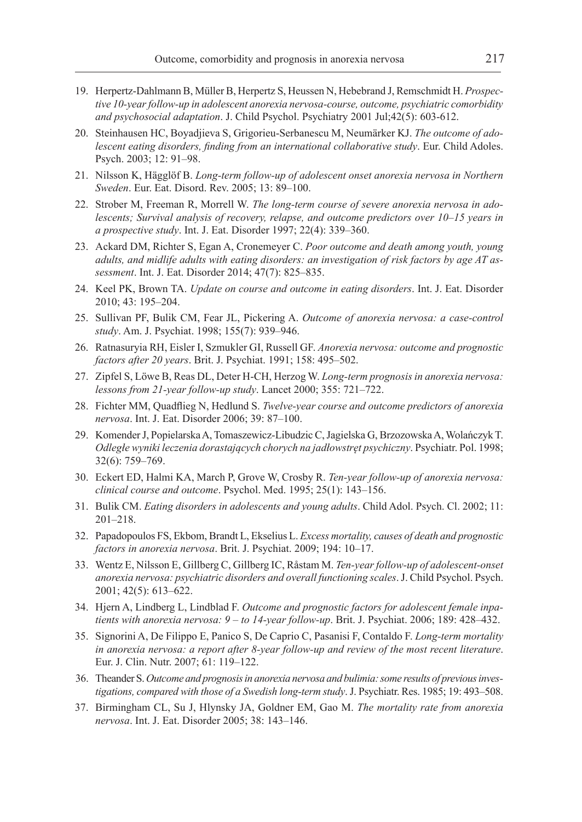- 19. Herpertz-Dahlmann B, Müller B, Herpertz S, Heussen N, Hebebrand J, Remschmidt H. *Prospective 10-year follow-up in adolescent anorexia nervosa-course, outcome, psychiatric comorbidity and psychosocial adaptation*. J. Child Psychol. Psychiatry 2001 Jul;42(5): 603-612.
- 20. Steinhausen HC, Boyadjieva S, Grigorieu-Serbanescu M, Neumärker KJ. *The outcome of adolescent eating disorders, finding from an international collaborative study*. Eur. Child Adoles. Psych. 2003; 12: 91–98.
- 21. Nilsson K, Hägglöf B. *Long-term follow-up of adolescent onset anorexia nervosa in Northern Sweden*. Eur. Eat. Disord. Rev. 2005; 13: 89–100.
- 22. Strober M, Freeman R, Morrell W. *The long-term course of severe anorexia nervosa in adolescents; Survival analysis of recovery, relapse, and outcome predictors over 10–15 years in a prospective study*. Int. J. Eat. Disorder 1997; 22(4): 339–360.
- 23. Ackard DM, Richter S, Egan A, Cronemeyer C. *Poor outcome and death among youth, young adults, and midlife adults with eating disorders: an investigation of risk factors by age AT assessment*. Int. J. Eat. Disorder 2014; 47(7): 825–835.
- 24. Keel PK, Brown TA. *Update on course and outcome in eating disorders*. Int. J. Eat. Disorder 2010; 43: 195–204.
- 25. Sullivan PF, Bulik CM, Fear JL, Pickering A. *Outcome of anorexia nervosa: a case-control study*. Am. J. Psychiat. 1998; 155(7): 939–946.
- 26. Ratnasuryia RH, Eisler I, Szmukler GI, Russell GF. *Anorexia nervosa: outcome and prognostic factors after 20 years*. Brit. J. Psychiat. 1991; 158: 495–502.
- 27. Zipfel S, Löwe B, Reas DL, Deter H-CH, Herzog W. *Long-term prognosis in anorexia nervosa: lessons from 21-year follow-up study*. Lancet 2000; 355: 721–722.
- 28. Fichter MM, Quadflieg N, Hedlund S. *Twelve-year course and outcome predictors of anorexia nervosa*. Int. J. Eat. Disorder 2006; 39: 87–100.
- 29. Komender J, Popielarska A, Tomaszewicz-Libudzic C, Jagielska G, Brzozowska A, WolańczykT. *Odległe wyniki leczenia dorastających chorych na jadłowstręt psychiczny*. Psychiatr. Pol. 1998; 32(6): 759–769.
- 30. Eckert ED, Halmi KA, March P, Grove W, Crosby R. *Ten-year follow-up of anorexia nervosa: clinical course and outcome*. Psychol. Med. 1995; 25(1): 143–156.
- 31. Bulik CM. *Eating disorders in adolescents and young adults*. Child Adol. Psych. Cl. 2002; 11: 201–218.
- 32. Papadopoulos FS, Ekbom, Brandt L, Ekselius L. *Excess mortality, causes of death and prognostic factors in anorexia nervosa*. Brit. J. Psychiat. 2009; 194: 10–17.
- 33. Wentz E, Nilsson E, Gillberg C, Gillberg IC, Råstam M. *Ten-year follow-up of adolescent-onset anorexia nervosa: psychiatric disorders and overall functioning scales*. J. Child Psychol. Psych. 2001; 42(5): 613–622.
- 34. Hjern A, Lindberg L, Lindblad F. *Outcome and prognostic factors for adolescent female inpatients with anorexia nervosa: 9 – to 14-year follow-up*. Brit. J. Psychiat. 2006; 189: 428–432.
- 35. Signorini A, De Filippo E, Panico S, De Caprio C, Pasanisi F, Contaldo F. *Long-term mortality in anorexia nervosa: a report after 8-year follow-up and review of the most recent literature*. Eur. J. Clin. Nutr. 2007; 61: 119–122.
- 36. Theander S. *Outcome and prognosis in anorexia nervosa and bulimia: some results of previous investigations, compared with those of a Swedish long-term study*. J. Psychiatr. Res. 1985; 19: 493–508.
- 37. Birmingham CL, Su J, Hlynsky JA, Goldner EM, Gao M. *The mortality rate from anorexia nervosa*. Int. J. Eat. Disorder 2005; 38: 143–146.